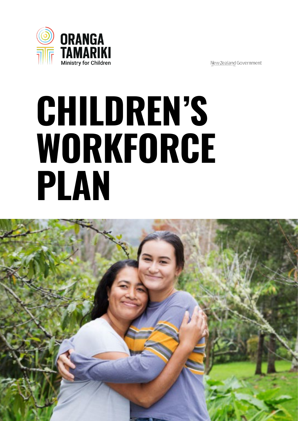

New Zealand Government

# **CHILDREN'S WORKFORCE PLAN**

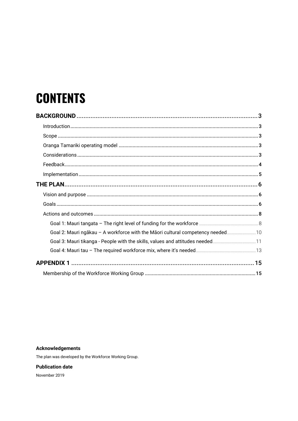# **CONTENTS**

| Goal 2: Mauri ngākau - A workforce with the Māori cultural competency needed 10 |  |
|---------------------------------------------------------------------------------|--|
| Goal 3: Mauri tikanga - People with the skills, values and attitudes needed11   |  |
|                                                                                 |  |
|                                                                                 |  |
|                                                                                 |  |

#### **Acknowledgements**

The plan was developed by the Workforce Working Group.

**Publication date**

November 2019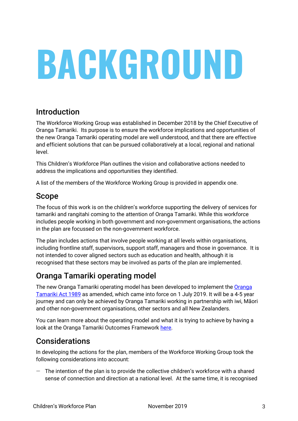# **BACKGROUND**

## Introduction

The Workforce Working Group was established in December 2018 by the Chief Executive of Oranga Tamariki. Its purpose is to ensure the workforce implications and opportunities of the new Oranga Tamariki operating model are well understood, and that there are effective and efficient solutions that can be pursued collaboratively at a local, regional and national level.

This Children's Workforce Plan outlines the vision and collaborative actions needed to address the implications and opportunities they identified. alizatives with impredictions and opportunities and judicialized. exures momphements and oppertunities may recomment

A list of the members of the Workforce Working Group is provided in appendix one.

#### Scope  $G$  1: Mauri tangata – The right level of funding for  $f$  funding for  $f$  funding for  $\mathcal{F}$  $G$  1: Mauri tangata – The right level of funding for  $f$  funding for  $f$  funding for  $f$  funding for  $f$

The focus of this work is on the children's workforce supporting the delivery of services for tamariki and rangitahi coming to the attention of Oranga Tamariki. While this workforce includes people working in both government and non-government organisations, the actions in the plan are focussed on the non-government workforce.

The plan includes actions that involve people working at all levels within organisations, including frontline staff, supervisors, support staff, managers and those in governance. It is not intended to cover aligned sectors such as education and health, although it is recognised that these sectors may be involved as parts of the plan are implemented.

#### Oranga Tamariki operating model possible  $\blacksquare$  moodel  $j$  moder Ovenge Temeriki energting medal wedates on

The new Oranga Tamariki operating model has been developed to implement the Oranga Tamariki Act 1989 as amended, which came into force on 1 July 2019. It will be a 4-5 year journey and can only be achieved by Oranga Tamariki working in partnership with iwi, Māori and other non-government organisations, other sectors and all New Zealanders.

You can learn more about the operating model and what it is trying to achieve by having a look at the Oranga Tamariki Outcomes Framework <u>here</u>.  $\mathcal{L}_{\mathcal{A}}$  $T_{\text{eff}}$  working group  $\mathcal{L}_{\mathcal{A}}$  is the funding in relation  $\mathcal{A}$  $T_{\text{c}}$  working group

#### **Considerations** and differences in service

In developing the actions for the plan, members of the Workforce Working Group took the following considerations into account: and Pacific Pacific Pacific Pacific Pacific Pacific Pacific<br>Hipman Situation Pacific Pacific Pacific Pacific Pacific Pacific Pacific Pacific Pacific Pacific Pacific Pacif

 $-$  The intention of the plan is to provide the collective children's workforce with a shared sense of connection and direction at a national level. At the same time, it is recognised skills and other workforce skills and other workforce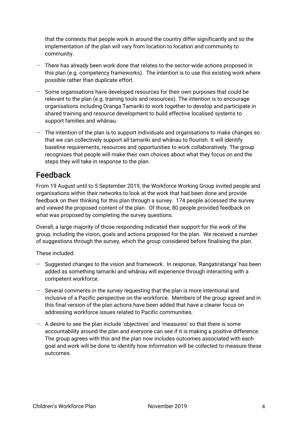that the contexts that people work in around the country differ significantly and so the implementation of the plan will vary from location to location and community to community.

- $-$  There has already been work done that relates to the sector-wide actions proposed in this plan (e.g. competency frameworks). The intention is to use this existing work where possible rather than duplicate effort.
- Some organisations have developed resources for their own purposes that could be relevant to the plan (e.g. training tools and resources). The intention is to encourage organisations including Oranga Tamariki to work together to develop and participate in shared training and resource development to build effective localised systems to support families and whanau.
- $-$  The intention of the plan is to support individuals and organisations to make changes so that we can collectively support all tamariki and whanau to flourish. It will identify baseline requirements, resources and opportunities to work collaboratively. The group recognises that people will make their own choices about what they focus on and the steps they will take in response to the plan.

#### Feedback  $\mathsf{Feedback}$  and  $\mathsf{Feedback}$  and  $\mathsf{Meck}$  and goals,  $\mathsf{Feedback}$  and  $\mathsf{Fe}$  $\mathsf{Feedback}$  and given in the goals of  $\mathsf{Fe}$  and  $\mathsf{Fe}$  and  $\mathsf{Fe}$  and  $\mathsf{Fe}$  and  $\mathsf{Fe}$  and  $\mathsf{Fe}$  and  $\mathsf{Fe}$  and  $\mathsf{Fe}$  and  $\mathsf{Fe}$  and  $\mathsf{Fe}$  and  $\mathsf{Fe}$  and  $\mathsf{Fe}$  and  $\mathsf{Fe}$  and  $\mathsf{Fe}$  and  $\$  $\blacksquare$   $\blacksquare$   $\blacksquare$   $\blacksquare$   $\blacksquare$   $\blacksquare$   $\blacksquare$   $\blacksquare$   $\blacksquare$   $\blacksquare$   $\blacksquare$   $\blacksquare$   $\blacksquare$   $\blacksquare$   $\blacksquare$   $\blacksquare$   $\blacksquare$   $\blacksquare$   $\blacksquare$   $\blacksquare$   $\blacksquare$   $\blacksquare$   $\blacksquare$   $\blacksquare$   $\blacksquare$   $\blacksquare$   $\blacksquare$   $\blacksquare$   $\blacksquare$   $\blacksquare$   $\blacksquare$   $\blacks$

From 19 August until to 5 September 2019, the Workforce Working Group invited people and organisations within their networks to look at the work that had been done and provide feedback on their thinking for this plan through a survey. 174 people accessed the survey and viewed the proposed content of the plan. Of those, 80 people provided feedback on what was proposed by completing the survey questions.

Overall, a large majority of those responding indicated their support for the work of the group, including the vision, goals and actions proposed for the plan. We received a number of suggestions through the survey, which the group considered before finalising the plan.

These included:  $\Delta$ Those included:

- Suggested changes to the vision and framework. In response, 'Rangatiratanga' has been added as something tamariki and whānau will experience through interacting with a competent workforce.
	- $-$  Several comments in the survey requesting that the plan is more intentional and inclusive of a Pacific perspective on the workforce. Members of the group agreed and in this final version of the plan actions have been added that have a clearer focus on addressing workforce issues related to Pacific communities.
- $\,$  A desire to see the plan include 'objectives' and 'measures' so that there is some accountability around the plan and everyone can see if it is making a positive difference. The group agrees with this and the plan now includes outcomes associated with each goal and work will be done to identify how information will be collected to measure these outcomes.  $\overline{\phantom{a}}$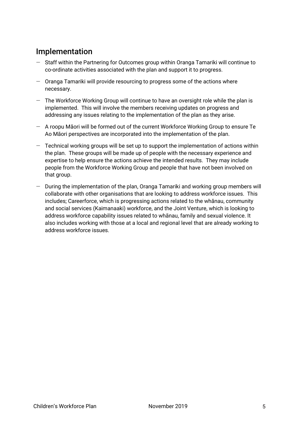## Implementation

- Staff within the Partnering for Outcomes group within Oranga Tamariki will continue to co-ordinate activities associated with the plan and support it to progress.
- Oranga Tamariki will provide resourcing to progress some of the actions where necessary.
- The Workforce Working Group will continue to have an oversight role while the plan is implemented. This will involve the members receiving updates on progress and addressing any issues relating to the implementation of the plan as they arise.
- $-$  A roopu Maori will be formed out of the current Workforce Working Group to ensure Te Ao Māori perspectives are incorporated into the implementation of the plan.
- $-$  Technical working groups will be set up to support the implementation of actions within the plan. These groups will be made up of people with the necessary experience and expertise to help ensure the actions achieve the intended results. They may include experise to help ensure the actions achieve the intended results. They may include<br>people from the Workforce Working Group and people that have not been involved on that group.  $8\,$  that group. This is a set of the goals of the goals, we have the goals, we have the goals, we have the goals,  $\alpha$  $8L$  that group. The group  $\mathcal{M}$  and  $\mathcal{M}$  and  $\mathcal{M}$  and  $\mathcal{M}$  and  $\mathcal{M}$  and  $\mathcal{M}$  and  $\mathcal{M}$  and  $\mathcal{M}$  and  $\mathcal{M}$  and  $\mathcal{M}$  and  $\mathcal{M}$  and  $\mathcal{M}$  and  $\mathcal{M}$  and  $\mathcal{M}$  and  $\mathcal{M}$  and  $8.02\pm0.05$  that grou
	- During the implementation of the plan, Oranga Tamariki and working group members will collaborate with other organisations that are looking to address workforce issues. This includes; Careerforce, which is progressing actions related to the whanau, community and social services (Kaimanaaki) workforce, and the Joint Venture, which is looking to address workforce capability issues related to whānau, family and sexual violence. It also includes working with those at a local and regional level that are already working to address workforce issues.  $\mathbb{R}$  and  $\mathbb{R}$  is the state of  $\mathbb{R}$ .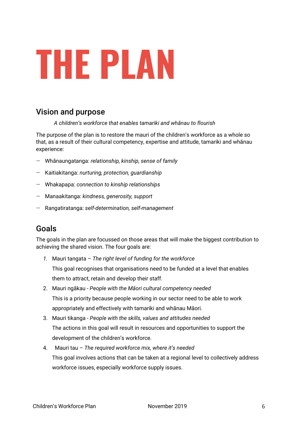

## Vision and purpose

A children's workforce that enables tamariki and whanau to flourish

The purpose of the plan is to restore the mauri of the children's workforce as a whole so that, as a result of their cultural competency, expertise and attitude, tamariki and whanau experience:

- Whānaungatanga: *relationship, kinship, sense of family*
- Kaitiakitanga: nurturing, protection, guardianship EFRICATIONS CONTINUITY STATES IN TERRITORY IN TERRITORY IN TERRITORY IN TERRITORY IN TERRITORY IN TERRITORY IN<br>External of the goals, the goals, the goals, the goals, the goals in the goals in the goals. The goals in the g
	- $-$  Whakapapa: connection to kinship relationships
	- Manaakitanga: *kindness, generosity, support* 
		- $-$  Rangatiratanga: self-determination, self-management

# $\bf{G}$ oals $\bf{G}$

The goals in the plan are focussed on those areas that will make the biggest contribution to achieving the shared vision. The four goals are: which is a step who is a step who is a step who is a step who - Organisations have the resources needed to develop and maintain a competent workforce - Organisations have the resources needed to develop and maintain a competent workforce

- *1.* Mauri tangata The right level of funding for the workforce This goal recognises that organisations need to be funded at a level that enables them to attract, retain and develop their staff. claims gournees contributed when we we made the foundation in TE IN THE TERM OF THE CONTROL OF A TEXT  $\frac{1}{2}$  the strength  $\frac{1}{2}$  such that *Mai* Shabico This meet uses we is as the them existing in the d claims and contribute where where we have a contribute where  $\frac{1}{2}$ THREE THAT DIGAINDRED TO THE TEXT TO THE PSA\*, SSPA, Barnardos, Stand Tu Tanada at a foreit that one
	- 2. Mauri ngākau People with the Māori cultural competency needed This is a priority because people working in our sector need to be able to work appropriately and effectively with tamariki and whānau Māori. Contribute information to the in tamanki and whana Contribute information to the nd effectively with tan WWG members
- 3. Mauri tikanga People with the skills, values and attitudes needed The actions in this goal will result in resources and opportunities to support the development of the children's workforce.  $w_{\rm s}$  is the funding in relation in  $\frac{1}{2}$ on wages, funding arrangements members, Oranga Tamariki  $\mathsf{T}_{\mathsf{PQ}}$ on wages, funding arrangements members, Oranga Tamariki
- 4. Mauri tau The required workforce mix, where it's needed This goal involves actions that can be taken at a regional level to collectively address workforce issues, especially workforce supply issues.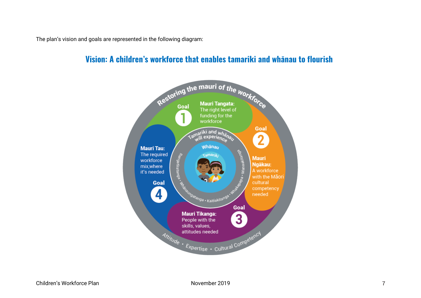The plan's vision and goals are represented in the following diagram:<br>

#### **Vision: A children's workforce that enables tamariki and whānau to flourish** ERHEDRED IN **Vision: A childr**

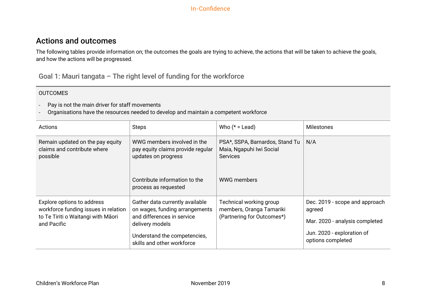### Actions and outcomes

The following tables provide information on; the outcomes the goals are trying to achieve, the actions that will be taken to achieve the goals, and how the actions will be progressed.

Goal 1: Mauri tangata – The right level of funding for the workforce

- Pay is not the main driver for staff movements
- Organisations have the resources needed to develop and maintain a competent workforce

| Actions                                                                                                                 | <b>Steps</b>                                                                                                                                                                     | Who $(* =$ Lead)                                                                                     | <b>Milestones</b>                                                                                                             |
|-------------------------------------------------------------------------------------------------------------------------|----------------------------------------------------------------------------------------------------------------------------------------------------------------------------------|------------------------------------------------------------------------------------------------------|-------------------------------------------------------------------------------------------------------------------------------|
| Remain updated on the pay equity<br>claims and contribute where<br>possible                                             | WWG members involved in the<br>pay equity claims provide regular<br>updates on progress<br>Contribute information to the<br>process as requested                                 | PSA*, SSPA, Barnardos, Stand Tu<br>Maia, Ngapuhi Iwi Social<br><b>Services</b><br><b>WWG members</b> | N/A                                                                                                                           |
| Explore options to address<br>workforce funding issues in relation<br>to Te Tiriti o Waitangi with Māori<br>and Pacific | Gather data currently available<br>on wages, funding arrangements<br>and differences in service<br>delivery models<br>Understand the competencies,<br>skills and other workforce | Technical working group<br>members, Oranga Tamariki<br>(Partnering for Outcomes*)                    | Dec. 2019 - scope and approach<br>agreed<br>Mar. 2020 - analysis completed<br>Jun. 2020 - exploration of<br>options completed |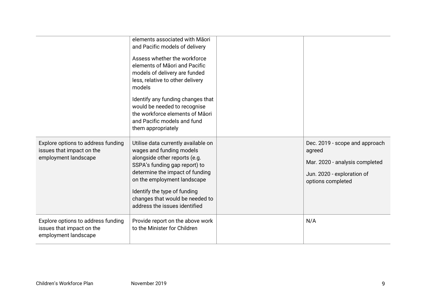|                                                                                         | elements associated with Māori<br>and Pacific models of delivery<br>Assess whether the workforce<br>elements of Maori and Pacific<br>models of delivery are funded<br>less, relative to other delivery<br>models<br>Identify any funding changes that<br>would be needed to recognise<br>the workforce elements of Māori<br>and Pacific models and fund<br>them appropriately |                                                                                                                               |
|-----------------------------------------------------------------------------------------|-------------------------------------------------------------------------------------------------------------------------------------------------------------------------------------------------------------------------------------------------------------------------------------------------------------------------------------------------------------------------------|-------------------------------------------------------------------------------------------------------------------------------|
| Explore options to address funding<br>issues that impact on the<br>employment landscape | Utilise data currently available on<br>wages and funding models<br>alongside other reports (e.g.<br>SSPA's funding gap report) to<br>determine the impact of funding<br>on the employment landscape<br>Identify the type of funding<br>changes that would be needed to<br>address the issues identified                                                                       | Dec. 2019 - scope and approach<br>agreed<br>Mar. 2020 - analysis completed<br>Jun. 2020 - exploration of<br>options completed |
| Explore options to address funding<br>issues that impact on the<br>employment landscape | Provide report on the above work<br>to the Minister for Children                                                                                                                                                                                                                                                                                                              | N/A                                                                                                                           |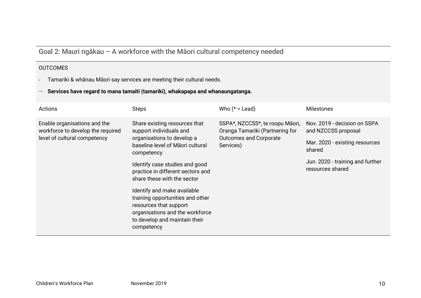# Goal 2: Mauri ngākau - A workforce with the Māori cultural competency needed

- Tamariki & whānau Māori say services are meeting their cultural needs.
- **Services have regard to mana tamaiti (tamariki), whakapapa and whanaungatanga.**

| Actions                                                                                           | Steps                                                                                                                                                                       | Who $(* =$ Lead)                                                                                                 | <b>Milestones</b>                                    |
|---------------------------------------------------------------------------------------------------|-----------------------------------------------------------------------------------------------------------------------------------------------------------------------------|------------------------------------------------------------------------------------------------------------------|------------------------------------------------------|
| Enable organisations and the<br>workforce to develop the required<br>level of cultural competency | Share existing resources that<br>support individuals and<br>organisations to develop a<br>baseline level of Maori cultural<br>competency                                    | SSPA*, NZCCSS*, te roopu Māori,<br>Oranga Tamariki (Partnering for<br><b>Outcomes and Corporate</b><br>Services) | Nov. 2019 - decision on SSPA<br>and NZCCSS proposal  |
|                                                                                                   |                                                                                                                                                                             |                                                                                                                  | Mar. 2020 - existing resources<br>shared             |
|                                                                                                   | Identify case studies and good<br>practice in different sectors and<br>share these with the sector                                                                          |                                                                                                                  | Jun. 2020 - training and further<br>resources shared |
|                                                                                                   | Identify and make available<br>training opportunities and other<br>resources that support<br>organisations and the workforce<br>to develop and maintain their<br>competency |                                                                                                                  |                                                      |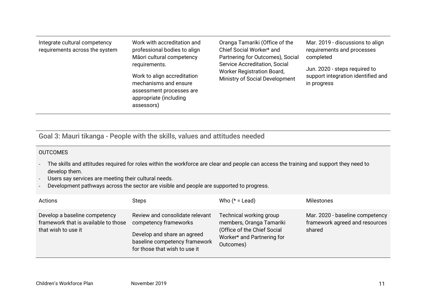| Integrate cultural competency<br>requirements across the system | Work with accreditation and<br>professional bodies to align<br>Māori cultural competency<br>requirements.<br>Work to align accreditation<br>mechanisms and ensure<br>assessment processes are<br>appropriate (including<br>assessors) | Oranga Tamariki (Office of the<br>Chief Social Worker* and<br>Partnering for Outcomes), Social<br>Service Accreditation, Social<br>Worker Registration Board,<br>Ministry of Social Development | Mar. 2019 - discussions to align<br>requirements and processes<br>completed<br>Jun. 2020 - steps required to<br>support integration identified and<br>in progress |
|-----------------------------------------------------------------|---------------------------------------------------------------------------------------------------------------------------------------------------------------------------------------------------------------------------------------|-------------------------------------------------------------------------------------------------------------------------------------------------------------------------------------------------|-------------------------------------------------------------------------------------------------------------------------------------------------------------------|
|-----------------------------------------------------------------|---------------------------------------------------------------------------------------------------------------------------------------------------------------------------------------------------------------------------------------|-------------------------------------------------------------------------------------------------------------------------------------------------------------------------------------------------|-------------------------------------------------------------------------------------------------------------------------------------------------------------------|

Goal 3: Mauri tikanga - People with the skills, values and attitudes needed

- The skills and attitudes required for roles within the workforce are clear and people can access the training and support they need to develop them.
- Users say services are meeting their cultural needs.
- Development pathways across the sector are visible and people are supported to progress.

| Actions                                                                                      | <b>Steps</b>                                                                                                                                              | Who $(* =$ Lead)                                                                                                              | Milestones                                                                  |
|----------------------------------------------------------------------------------------------|-----------------------------------------------------------------------------------------------------------------------------------------------------------|-------------------------------------------------------------------------------------------------------------------------------|-----------------------------------------------------------------------------|
| Develop a baseline competency<br>framework that is available to those<br>that wish to use it | Review and consolidate relevant<br>competency frameworks<br>Develop and share an agreed<br>baseline competency framework<br>for those that wish to use it | Technical working group<br>members, Oranga Tamariki<br>(Office of the Chief Social<br>Worker* and Partnering for<br>Outcomes) | Mar. 2020 - baseline competency<br>framework agreed and resources<br>shared |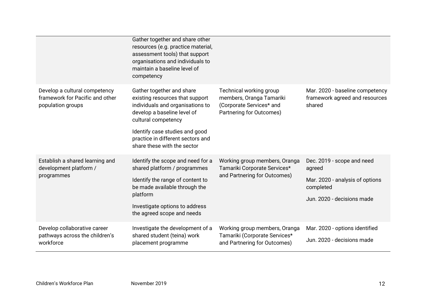|                                                                                       | Gather together and share other<br>resources (e.g. practice material,<br>assessment tools) that support<br>organisations and individuals to<br>maintain a baseline level of<br>competency                                                                    |                                                                                                             |                                                                                                                    |
|---------------------------------------------------------------------------------------|--------------------------------------------------------------------------------------------------------------------------------------------------------------------------------------------------------------------------------------------------------------|-------------------------------------------------------------------------------------------------------------|--------------------------------------------------------------------------------------------------------------------|
| Develop a cultural competency<br>framework for Pacific and other<br>population groups | Gather together and share<br>existing resources that support<br>individuals and organisations to<br>develop a baseline level of<br>cultural competency<br>Identify case studies and good<br>practice in different sectors and<br>share these with the sector | Technical working group<br>members, Oranga Tamariki<br>(Corporate Services* and<br>Partnering for Outcomes) | Mar. 2020 - baseline competency<br>framework agreed and resources<br>shared                                        |
| Establish a shared learning and<br>development platform /<br>programmes               | Identify the scope and need for a<br>shared platform / programmes<br>Identify the range of content to<br>be made available through the<br>platform<br>Investigate options to address<br>the agreed scope and needs                                           | Working group members, Oranga<br>Tamariki Corporate Services*<br>and Partnering for Outcomes)               | Dec. 2019 - scope and need<br>agreed<br>Mar. 2020 - analysis of options<br>completed<br>Jun. 2020 - decisions made |
| Develop collaborative career<br>pathways across the children's<br>workforce           | Investigate the development of a<br>shared student (teina) work<br>placement programme                                                                                                                                                                       | Working group members, Oranga<br>Tamariki (Corporate Services*<br>and Partnering for Outcomes)              | Mar. 2020 - options identified<br>Jun. 2020 - decisions made                                                       |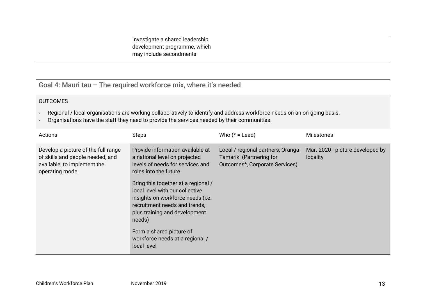Investigate a shared leadership development programme, which may include secondments

Goal 4: Mauri tau – The required workforce mix, where it's needed

- Regional / local organisations are working collaboratively to identify and address workforce needs on an on-going basis.
- Organisations have the staff they need to provide the services needed by their communities.

| Actions                                                                                                                   | <b>Steps</b>                                                                                                                                                                                                                                                                                                                                                                                            | Who $(* =$ Lead)                                                                                | <b>Milestones</b>                            |
|---------------------------------------------------------------------------------------------------------------------------|---------------------------------------------------------------------------------------------------------------------------------------------------------------------------------------------------------------------------------------------------------------------------------------------------------------------------------------------------------------------------------------------------------|-------------------------------------------------------------------------------------------------|----------------------------------------------|
| Develop a picture of the full range<br>of skills and people needed, and<br>available, to implement the<br>operating model | Provide information available at<br>a national level on projected<br>levels of needs for services and<br>roles into the future<br>Bring this together at a regional /<br>local level with our collective<br>insights on workforce needs (i.e.<br>recruitment needs and trends,<br>plus training and development<br>needs)<br>Form a shared picture of<br>workforce needs at a regional /<br>local level | Local / regional partners, Oranga<br>Tamariki (Partnering for<br>Outcomes*, Corporate Services) | Mar. 2020 - picture developed by<br>locality |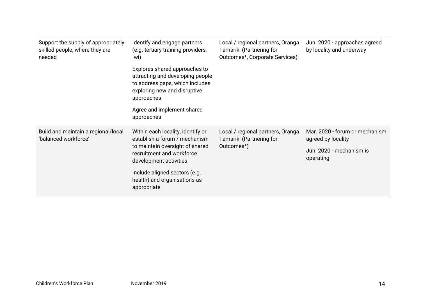| Support the supply of appropriately<br>skilled people, where they are<br>needed | Identify and engage partners<br>(e.g. tertiary training providers,<br>lwi)                                                                         | Local / regional partners, Oranga<br>Tamariki (Partnering for<br>Outcomes*, Corporate Services) | Jun. 2020 - approaches agreed<br>by locality and underway |
|---------------------------------------------------------------------------------|----------------------------------------------------------------------------------------------------------------------------------------------------|-------------------------------------------------------------------------------------------------|-----------------------------------------------------------|
|                                                                                 | Explores shared approaches to<br>attracting and developing people<br>to address gaps, which includes<br>exploring new and disruptive<br>approaches |                                                                                                 |                                                           |
|                                                                                 | Agree and implement shared<br>approaches                                                                                                           |                                                                                                 |                                                           |
| Build and maintain a regional/local<br>'balanced workforce'                     | Within each locality, identify or<br>establish a forum / mechanism                                                                                 | Local / regional partners, Oranga<br>Tamariki (Partnering for<br>Outcomes*)                     | Mar. 2020 - forum or mechanism<br>agreed by locality      |
|                                                                                 | to maintain oversight of shared<br>recruitment and workforce<br>development activities                                                             |                                                                                                 | Jun. 2020 - mechanism is<br>operating                     |
|                                                                                 | Include aligned sectors (e.g.<br>health) and organisations as<br>appropriate                                                                       |                                                                                                 |                                                           |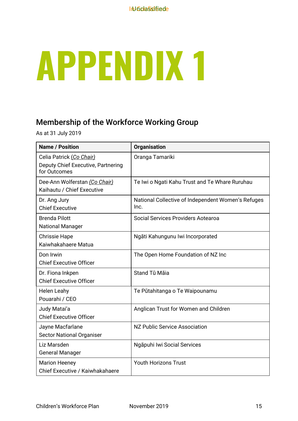# **APPENDIX 1**

# Membership of the Workforce Working Group

As at 31 July 2019

| <b>Name / Position</b>                                                         | <b>Organisation</b>                                        |
|--------------------------------------------------------------------------------|------------------------------------------------------------|
| Celia Patrick (Co Chair)<br>Deputy Chief Executive, Partnering<br>for Outcomes | Oranga Tamariki                                            |
| Dee-Ann Wolferstan (Co Chair)<br>Kaihautu / Chief Executive                    | Te Iwi o Ngati Kahu Trust and Te Whare Ruruhau             |
| Dr. Ang Jury<br><b>Chief Executive</b>                                         | National Collective of Independent Women's Refuges<br>Inc. |
| <b>Brenda Pilott</b><br><b>National Manager</b>                                | Social Services Providers Aotearoa                         |
| <b>Chrissie Hape</b><br>Kaiwhakahaere Matua                                    | Ngāti Kahungunu lwi Incorporated                           |
| Don Irwin<br><b>Chief Executive Officer</b>                                    | The Open Home Foundation of NZ Inc                         |
| Dr. Fiona Inkpen<br><b>Chief Executive Officer</b>                             | Stand Tū Māia                                              |
| <b>Helen Leahy</b><br>Pouarahi / CEO                                           | Te Pūtahitanga o Te Waipounamu                             |
| Judy Matai'a<br><b>Chief Executive Officer</b>                                 | Anglican Trust for Women and Children                      |
| Jayne Macfarlane<br><b>Sector National Organiser</b>                           | NZ Public Service Association                              |
| Liz Marsden<br><b>General Manager</b>                                          | Ngāpuhi Iwi Social Services                                |
| <b>Marion Heeney</b><br>Chief Executive / Kaiwhakahaere                        | <b>Youth Horizons Trust</b>                                |